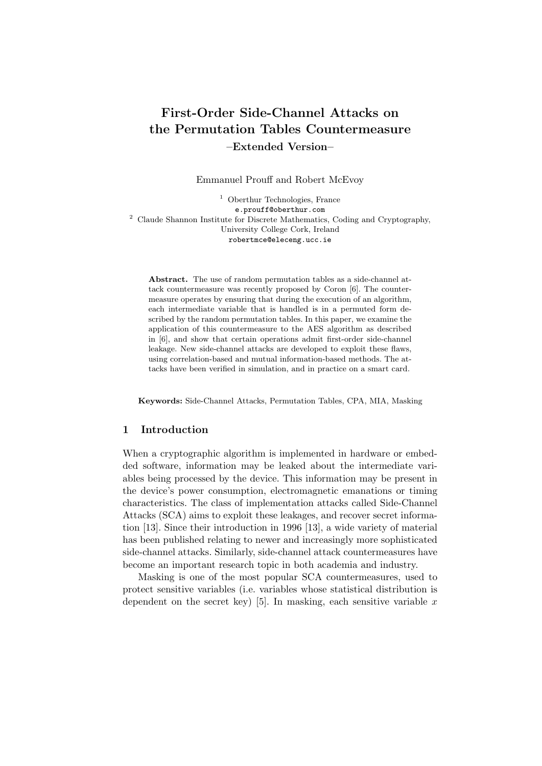# First-Order Side-Channel Attacks on the Permutation Tables Countermeasure –Extended Version–

Emmanuel Prouff and Robert McEvoy

<sup>1</sup> Oberthur Technologies, France e.prouff@oberthur.com <sup>2</sup> Claude Shannon Institute for Discrete Mathematics, Coding and Cryptography, University College Cork, Ireland robertmce@eleceng.ucc.ie

Abstract. The use of random permutation tables as a side-channel attack countermeasure was recently proposed by Coron [6]. The countermeasure operates by ensuring that during the execution of an algorithm, each intermediate variable that is handled is in a permuted form described by the random permutation tables. In this paper, we examine the application of this countermeasure to the AES algorithm as described in [6], and show that certain operations admit first-order side-channel leakage. New side-channel attacks are developed to exploit these flaws, using correlation-based and mutual information-based methods. The attacks have been verified in simulation, and in practice on a smart card.

Keywords: Side-Channel Attacks, Permutation Tables, CPA, MIA, Masking

# 1 Introduction

When a cryptographic algorithm is implemented in hardware or embedded software, information may be leaked about the intermediate variables being processed by the device. This information may be present in the device's power consumption, electromagnetic emanations or timing characteristics. The class of implementation attacks called Side-Channel Attacks (SCA) aims to exploit these leakages, and recover secret information [13]. Since their introduction in 1996 [13], a wide variety of material has been published relating to newer and increasingly more sophisticated side-channel attacks. Similarly, side-channel attack countermeasures have become an important research topic in both academia and industry.

Masking is one of the most popular SCA countermeasures, used to protect sensitive variables (i.e. variables whose statistical distribution is dependent on the secret key) [5]. In masking, each sensitive variable  $x$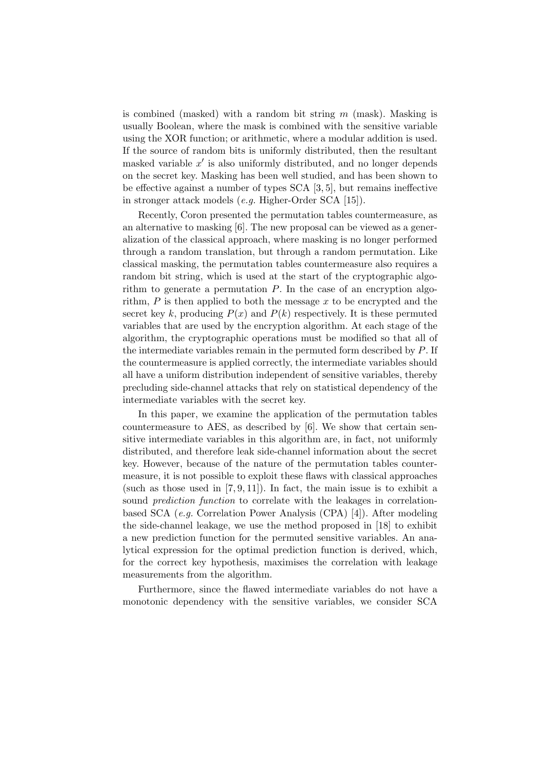is combined (masked) with a random bit string  $m$  (mask). Masking is usually Boolean, where the mask is combined with the sensitive variable using the XOR function; or arithmetic, where a modular addition is used. If the source of random bits is uniformly distributed, then the resultant masked variable  $x'$  is also uniformly distributed, and no longer depends on the secret key. Masking has been well studied, and has been shown to be effective against a number of types SCA [3, 5], but remains ineffective in stronger attack models (e.g. Higher-Order SCA [15]).

Recently, Coron presented the permutation tables countermeasure, as an alternative to masking [6]. The new proposal can be viewed as a generalization of the classical approach, where masking is no longer performed through a random translation, but through a random permutation. Like classical masking, the permutation tables countermeasure also requires a random bit string, which is used at the start of the cryptographic algorithm to generate a permutation P. In the case of an encryption algorithm,  $P$  is then applied to both the message  $x$  to be encrypted and the secret key k, producing  $P(x)$  and  $P(k)$  respectively. It is these permuted variables that are used by the encryption algorithm. At each stage of the algorithm, the cryptographic operations must be modified so that all of the intermediate variables remain in the permuted form described by  $P$ . If the countermeasure is applied correctly, the intermediate variables should all have a uniform distribution independent of sensitive variables, thereby precluding side-channel attacks that rely on statistical dependency of the intermediate variables with the secret key.

In this paper, we examine the application of the permutation tables countermeasure to AES, as described by [6]. We show that certain sensitive intermediate variables in this algorithm are, in fact, not uniformly distributed, and therefore leak side-channel information about the secret key. However, because of the nature of the permutation tables countermeasure, it is not possible to exploit these flaws with classical approaches (such as those used in  $(7, 9, 11)$ ). In fact, the main issue is to exhibit a sound *prediction function* to correlate with the leakages in correlationbased SCA (e.g. Correlation Power Analysis (CPA) [4]). After modeling the side-channel leakage, we use the method proposed in [18] to exhibit a new prediction function for the permuted sensitive variables. An analytical expression for the optimal prediction function is derived, which, for the correct key hypothesis, maximises the correlation with leakage measurements from the algorithm.

Furthermore, since the flawed intermediate variables do not have a monotonic dependency with the sensitive variables, we consider SCA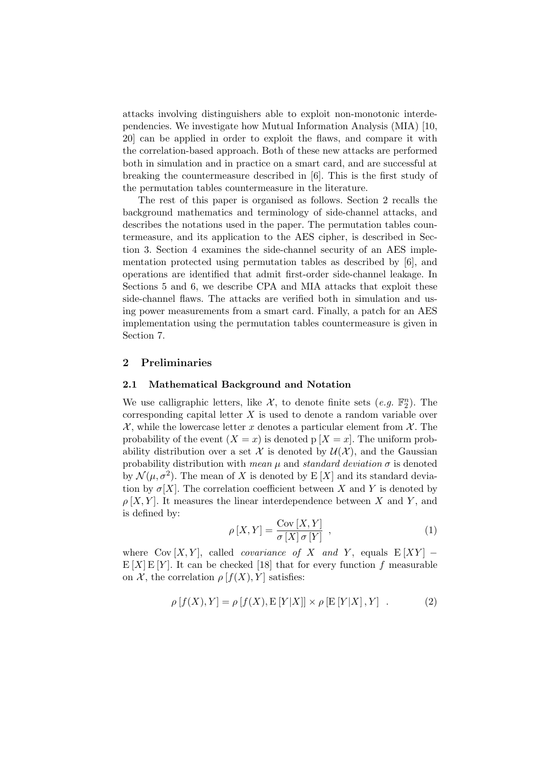attacks involving distinguishers able to exploit non-monotonic interdependencies. We investigate how Mutual Information Analysis (MIA) [10, 20] can be applied in order to exploit the flaws, and compare it with the correlation-based approach. Both of these new attacks are performed both in simulation and in practice on a smart card, and are successful at breaking the countermeasure described in [6]. This is the first study of the permutation tables countermeasure in the literature.

The rest of this paper is organised as follows. Section 2 recalls the background mathematics and terminology of side-channel attacks, and describes the notations used in the paper. The permutation tables countermeasure, and its application to the AES cipher, is described in Section 3. Section 4 examines the side-channel security of an AES implementation protected using permutation tables as described by [6], and operations are identified that admit first-order side-channel leakage. In Sections 5 and 6, we describe CPA and MIA attacks that exploit these side-channel flaws. The attacks are verified both in simulation and using power measurements from a smart card. Finally, a patch for an AES implementation using the permutation tables countermeasure is given in Section 7.

# 2 Preliminaries

#### 2.1 Mathematical Background and Notation

We use calligraphic letters, like  $\mathcal{X}$ , to denote finite sets  $(e.g. \mathbb{F}_2^n)$ . The corresponding capital letter  $X$  is used to denote a random variable over  $\mathcal{X}$ , while the lowercase letter x denotes a particular element from  $\mathcal{X}$ . The probability of the event  $(X = x)$  is denoted p  $[X = x]$ . The uniform probability distribution over a set X is denoted by  $\mathcal{U}(\mathcal{X})$ , and the Gaussian probability distribution with mean  $\mu$  and standard deviation  $\sigma$  is denoted by  $\mathcal{N}(\mu, \sigma^2)$ . The mean of X is denoted by E  $[X]$  and its standard deviation by  $\sigma[X]$ . The correlation coefficient between X and Y is denoted by  $\rho[X, Y]$ . It measures the linear interdependence between X and Y, and is defined by:

$$
\rho\left[X,Y\right] = \frac{\text{Cov}\left[X,Y\right]}{\sigma\left[X\right]\sigma\left[Y\right]} \tag{1}
$$

where  $Cov [X, Y]$ , called *covariance of* X and Y, equals  $E [XY]$  –  $E[X] E[Y]$ . It can be checked [18] that for every function f measurable on X, the correlation  $\rho[f(X),Y]$  satisfies:

$$
\rho [f(X), Y] = \rho [f(X), E [Y|X]] \times \rho [E [Y|X], Y] .
$$
 (2)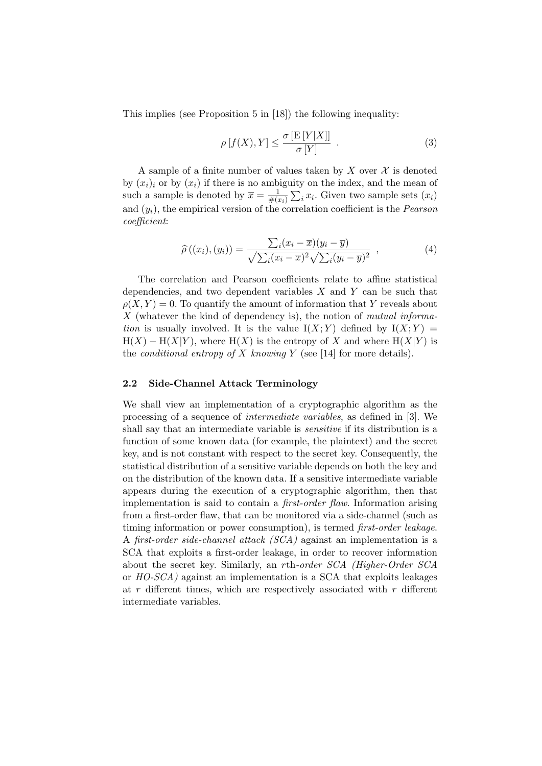This implies (see Proposition 5 in [18]) the following inequality:

$$
\rho[f(X), Y] \le \frac{\sigma [E[Y|X]]}{\sigma [Y]} . \tag{3}
$$

A sample of a finite number of values taken by X over  $\mathcal X$  is denoted by  $(x_i)_i$  or by  $(x_i)$  if there is no ambiguity on the index, and the mean of such a sample is denoted by  $\overline{x} = \frac{1}{\#G}$  $\frac{1}{\#(x_i)}\sum_i x_i$ . Given two sample sets  $(x_i)$ and  $(y_i)$ , the empirical version of the correlation coefficient is the *Pearson* coefficient:

$$
\widehat{\rho}\left((x_i),(y_i)\right) = \frac{\sum_i (x_i - \overline{x})(y_i - \overline{y})}{\sqrt{\sum_i (x_i - \overline{x})^2} \sqrt{\sum_i (y_i - \overline{y})^2}} \tag{4}
$$

The correlation and Pearson coefficients relate to affine statistical dependencies, and two dependent variables  $X$  and  $Y$  can be such that  $\rho(X, Y) = 0$ . To quantify the amount of information that Y reveals about X (whatever the kind of dependency is), the notion of mutual information is usually involved. It is the value  $I(X; Y)$  defined by  $I(X; Y) =$  $H(X) - H(X|Y)$ , where  $H(X)$  is the entropy of X and where  $H(X|Y)$  is the *conditional entropy of* X knowing Y (see [14] for more details).

# 2.2 Side-Channel Attack Terminology

We shall view an implementation of a cryptographic algorithm as the processing of a sequence of intermediate variables, as defined in [3]. We shall say that an intermediate variable is *sensitive* if its distribution is a function of some known data (for example, the plaintext) and the secret key, and is not constant with respect to the secret key. Consequently, the statistical distribution of a sensitive variable depends on both the key and on the distribution of the known data. If a sensitive intermediate variable appears during the execution of a cryptographic algorithm, then that implementation is said to contain a first-order flaw. Information arising from a first-order flaw, that can be monitored via a side-channel (such as timing information or power consumption), is termed *first-order leakage*. A first-order side-channel attack (SCA) against an implementation is a SCA that exploits a first-order leakage, in order to recover information about the secret key. Similarly, an rth-order SCA (Higher-Order SCA or HO-SCA) against an implementation is a SCA that exploits leakages at r different times, which are respectively associated with r different intermediate variables.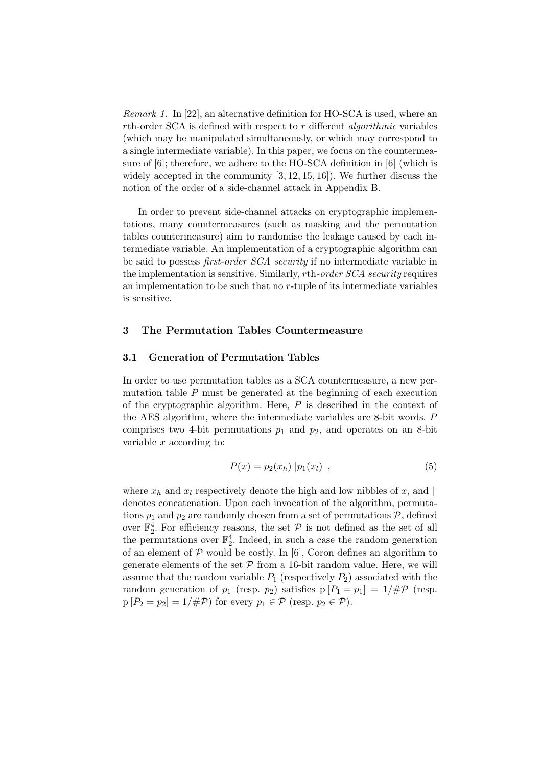Remark 1. In [22], an alternative definition for HO-SCA is used, where an  $r$ th-order SCA is defined with respect to  $r$  different algorithmic variables (which may be manipulated simultaneously, or which may correspond to a single intermediate variable). In this paper, we focus on the countermeasure of [6]; therefore, we adhere to the HO-SCA definition in [6] (which is widely accepted in the community  $[3, 12, 15, 16]$ . We further discuss the notion of the order of a side-channel attack in Appendix B.

In order to prevent side-channel attacks on cryptographic implementations, many countermeasures (such as masking and the permutation tables countermeasure) aim to randomise the leakage caused by each intermediate variable. An implementation of a cryptographic algorithm can be said to possess *first-order SCA security* if no intermediate variable in the implementation is sensitive. Similarly, rth-order SCA security requires an implementation to be such that no r-tuple of its intermediate variables is sensitive.

## 3 The Permutation Tables Countermeasure

# 3.1 Generation of Permutation Tables

In order to use permutation tables as a SCA countermeasure, a new permutation table  $P$  must be generated at the beginning of each execution of the cryptographic algorithm. Here,  $P$  is described in the context of the AES algorithm, where the intermediate variables are 8-bit words. P comprises two 4-bit permutations  $p_1$  and  $p_2$ , and operates on an 8-bit variable  $x$  according to:

$$
P(x) = p_2(x_h)||p_1(x_l) , \t\t(5)
$$

where  $x_h$  and  $x_l$  respectively denote the high and low nibbles of x, and || denotes concatenation. Upon each invocation of the algorithm, permutations  $p_1$  and  $p_2$  are randomly chosen from a set of permutations  $P$ , defined over  $\mathbb{F}_2^4$ . For efficiency reasons, the set  $P$  is not defined as the set of all the permutations over  $\mathbb{F}_2^4$ . Indeed, in such a case the random generation of an element of  $P$  would be costly. In [6], Coron defines an algorithm to generate elements of the set  $P$  from a 16-bit random value. Here, we will assume that the random variable  $P_1$  (respectively  $P_2$ ) associated with the random generation of  $p_1$  (resp.  $p_2$ ) satisfies  $p[P_1 = p_1] = 1/\text{\#P}$  (resp.  $p [P_2 = p_2] = 1/\# \mathcal{P}$  for every  $p_1 \in \mathcal{P}$  (resp.  $p_2 \in \mathcal{P}$ ).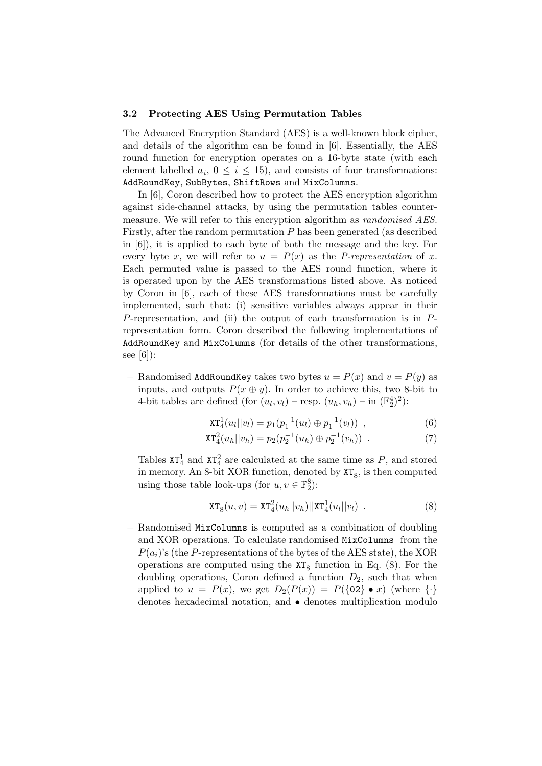#### 3.2 Protecting AES Using Permutation Tables

The Advanced Encryption Standard (AES) is a well-known block cipher, and details of the algorithm can be found in [6]. Essentially, the AES round function for encryption operates on a 16-byte state (with each element labelled  $a_i$ ,  $0 \le i \le 15$ , and consists of four transformations: AddRoundKey, SubBytes, ShiftRows and MixColumns.

In [6], Coron described how to protect the AES encryption algorithm against side-channel attacks, by using the permutation tables countermeasure. We will refer to this encryption algorithm as *randomised AES*. Firstly, after the random permutation  $P$  has been generated (as described in [6]), it is applied to each byte of both the message and the key. For every byte x, we will refer to  $u = P(x)$  as the *P-representation* of x. Each permuted value is passed to the AES round function, where it is operated upon by the AES transformations listed above. As noticed by Coron in [6], each of these AES transformations must be carefully implemented, such that: (i) sensitive variables always appear in their P-representation, and (ii) the output of each transformation is in  $P$ representation form. Coron described the following implementations of AddRoundKey and MixColumns (for details of the other transformations, see [6]):

– Randomised AddRoundKey takes two bytes  $u = P(x)$  and  $v = P(y)$  as inputs, and outputs  $P(x \oplus y)$ . In order to achieve this, two 8-bit to 4-bit tables are defined (for  $(u_l, v_l)$  – resp.  $(u_h, v_h)$  – in  $(\mathbb{F}_2^4)^2$ ):

$$
\mathbf{XT}_4^1(u_l||v_l) = p_1(p_1^{-1}(u_l) \oplus p_1^{-1}(v_l)), \qquad (6)
$$

$$
\operatorname{XT}_4^2(u_h||v_h) = p_2(p_2^{-1}(u_h) \oplus p_2^{-1}(v_h)) \tag{7}
$$

Tables  $XT_4^1$  and  $XT_4^2$  are calculated at the same time as  $P$ , and stored in memory. An 8-bit XOR function, denoted by  $XT_8$ , is then computed using those table look-ups (for  $u, v \in \mathbb{F}_2^8$ ):

$$
XT_8(u, v) = XT_4^2(u_h||v_h)||XT_4^1(u_l||v_l) . \qquad (8)
$$

– Randomised MixColumns is computed as a combination of doubling and XOR operations. To calculate randomised MixColumns from the  $P(a_i)$ 's (the P-representations of the bytes of the AES state), the XOR operations are computed using the  $XT_8$  function in Eq. (8). For the doubling operations, Coron defined a function  $D_2$ , such that when applied to  $u = P(x)$ , we get  $D_2(P(x)) = P({02} \bullet x)$  (where  $\{\cdot\}$ ) denotes hexadecimal notation, and • denotes multiplication modulo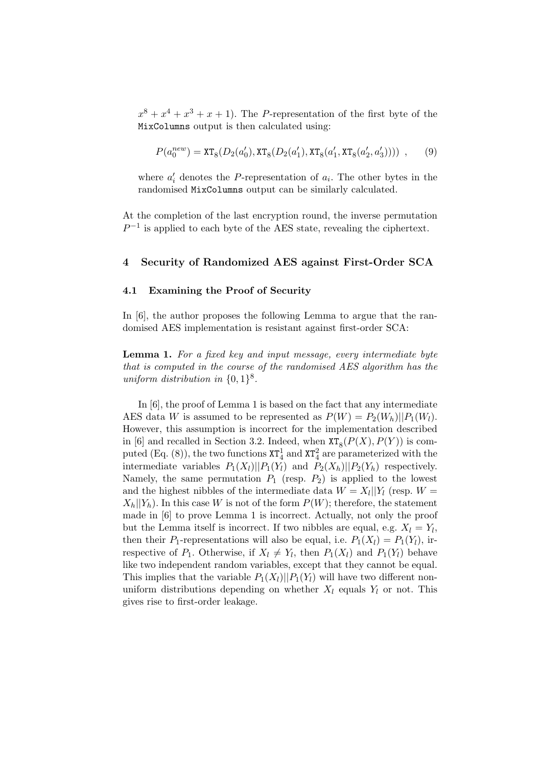$x^8 + x^4 + x^3 + x + 1$ ). The *P*-representation of the first byte of the MixColumns output is then calculated using:

$$
P(a_0^{new}) = \texttt{XT}_8(D_2(a_0'), \texttt{XT}_8(D_2(a_1'), \texttt{XT}_8(a_1', \texttt{XT}_8(a_2', a_3')))) \tag{9}
$$

where  $a'_i$  denotes the P-representation of  $a_i$ . The other bytes in the randomised MixColumns output can be similarly calculated.

At the completion of the last encryption round, the inverse permutation  $P^{-1}$  is applied to each byte of the AES state, revealing the ciphertext.

# 4 Security of Randomized AES against First-Order SCA

#### 4.1 Examining the Proof of Security

In [6], the author proposes the following Lemma to argue that the randomised AES implementation is resistant against first-order SCA:

Lemma 1. For a fixed key and input message, every intermediate byte that is computed in the course of the randomised AES algorithm has the uniform distribution in  $\{0,1\}^8$ .

In [6], the proof of Lemma 1 is based on the fact that any intermediate AES data W is assumed to be represented as  $P(W) = P_2(W_h)||P_1(W_l)$ . However, this assumption is incorrect for the implementation described in [6] and recalled in Section 3.2. Indeed, when  $\text{XT}_8(P(X), P(Y))$  is computed (Eq. (8)), the two functions  $XT_4^1$  and  $XT_4^2$  are parameterized with the intermediate variables  $P_1(X_l)||P_1(Y_l)$  and  $P_2(X_h)||P_2(Y_h)$  respectively. Namely, the same permutation  $P_1$  (resp.  $P_2$ ) is applied to the lowest and the highest nibbles of the intermediate data  $W = X_l || Y_l$  (resp.  $W =$  $X_h||Y_h$ ). In this case W is not of the form  $P(W)$ ; therefore, the statement made in [6] to prove Lemma 1 is incorrect. Actually, not only the proof but the Lemma itself is incorrect. If two nibbles are equal, e.g.  $X_l = Y_l$ , then their  $P_1$ -representations will also be equal, i.e.  $P_1(X_l) = P_1(Y_l)$ , irrespective of  $P_1$ . Otherwise, if  $X_l \neq Y_l$ , then  $P_1(X_l)$  and  $P_1(Y_l)$  behave like two independent random variables, except that they cannot be equal. This implies that the variable  $P_1(X_l)||P_1(Y_l)$  will have two different nonuniform distributions depending on whether  $X_l$  equals  $Y_l$  or not. This gives rise to first-order leakage.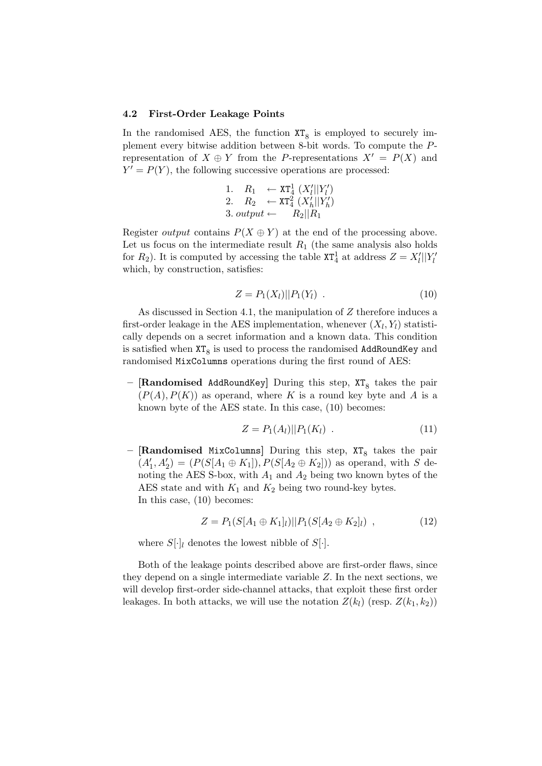#### 4.2 First-Order Leakage Points

In the randomised AES, the function  $XT_8$  is employed to securely implement every bitwise addition between 8-bit words. To compute the Prepresentation of  $X \oplus Y$  from the P-representations  $X' = P(X)$  and  $Y' = P(Y)$ , the following successive operations are processed:

1. 
$$
R_1 \leftarrow \text{XT}_4^1 \left( X_l' || Y_l' \right)
$$
  
\n2.  $R_2 \leftarrow \text{XT}_4^2 \left( X_h' || Y_h' \right)$   
\n3. output  $\leftarrow R_2 || R_1$ 

Register *output* contains  $P(X \oplus Y)$  at the end of the processing above. Let us focus on the intermediate result  $R_1$  (the same analysis also holds for  $R_2$ ). It is computed by accessing the table  $\mathbf{XT}_4^1$  at address  $Z = X_l'||Y_l'$ which, by construction, satisfies:

$$
Z = P_1(X_l) || P_1(Y_l) . \t(10)
$$

As discussed in Section 4.1, the manipulation of Z therefore induces a first-order leakage in the AES implementation, whenever  $(X_l, Y_l)$  statistically depends on a secret information and a known data. This condition is satisfied when  $\mathtt{XT}_{8}$  is used to process the randomised <code>AddRoundKey</code> and randomised MixColumns operations during the first round of AES:

 $-$  [Randomised AddRoundKey] During this step,  $XT_8$  takes the pair  $(P(A), P(K))$  as operand, where K is a round key byte and A is a known byte of the AES state. In this case, (10) becomes:

$$
Z = P_1(A_l) || P_1(K_l) . \t(11)
$$

 $-$  [Randomised MixColumns] During this step,  $XT_8$  takes the pair  $(A'_1, A'_2) = (P(S[A_1 \oplus K_1]), P(S[A_2 \oplus K_2]))$  as operand, with S denoting the AES S-box, with  $A_1$  and  $A_2$  being two known bytes of the AES state and with  $K_1$  and  $K_2$  being two round-key bytes. In this case, (10) becomes:

$$
Z = P_1(S[A_1 \oplus K_1]_l) || P_1(S[A_2 \oplus K_2]_l) , \qquad (12)
$$

where  $S[\cdot]_l$  denotes the lowest nibble of  $S[\cdot]$ .

Both of the leakage points described above are first-order flaws, since they depend on a single intermediate variable Z. In the next sections, we will develop first-order side-channel attacks, that exploit these first order leakages. In both attacks, we will use the notation  $Z(k_l)$  (resp.  $Z(k_1, k_2)$ )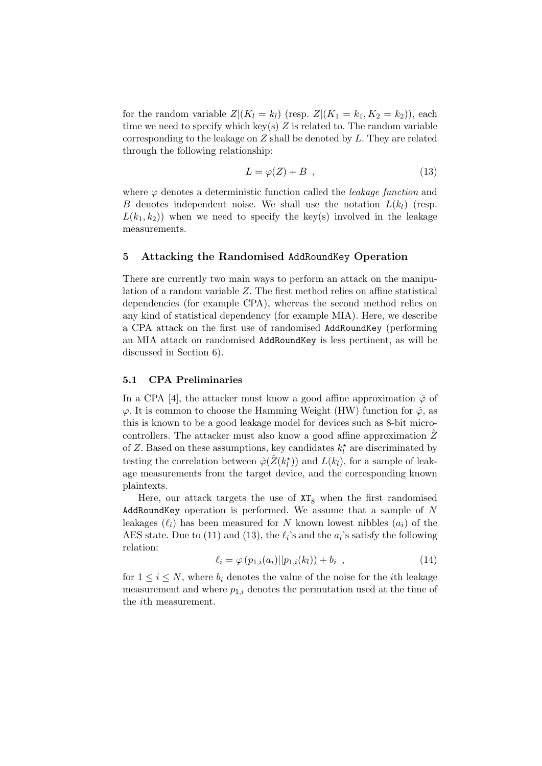for the random variable  $Z|(K_l = k_l)$  (resp.  $Z|(K_1 = k_1, K_2 = k_2)$ ), each time we need to specify which key(s)  $Z$  is related to. The random variable corresponding to the leakage on  $Z$  shall be denoted by  $L$ . They are related through the following relationship:

$$
L = \varphi(Z) + B \tag{13}
$$

where  $\varphi$  denotes a deterministic function called the *leakage function* and B denotes independent noise. We shall use the notation  $L(k_l)$  (resp.  $L(k_1, k_2)$  when we need to specify the key(s) involved in the leakage measurements.

# 5 Attacking the Randomised AddRoundKey Operation

There are currently two main ways to perform an attack on the manipulation of a random variable Z. The first method relies on affine statistical dependencies (for example CPA), whereas the second method relies on any kind of statistical dependency (for example MIA). Here, we describe a CPA attack on the first use of randomised AddRoundKey (performing an MIA attack on randomised AddRoundKey is less pertinent, as will be discussed in Section 6).

#### 5.1 CPA Preliminaries

In a CPA [4], the attacker must know a good affine approximation  $\hat{\varphi}$  of  $\varphi$ . It is common to choose the Hamming Weight (HW) function for  $\hat{\varphi}$ , as this is known to be a good leakage model for devices such as 8-bit microcontrollers. The attacker must also know a good affine approximation  $Z$ of Z. Based on these assumptions, key candidates  $k_l^{\star}$  are discriminated by testing the correlation between  $\hat{\varphi}(\hat{Z}(k_l^{\star}))$  and  $L(k_l)$ , for a sample of leakage measurements from the target device, and the corresponding known plaintexts.

Here, our attack targets the use of  $XT_8$  when the first randomised AddRoundKey operation is performed. We assume that a sample of  $N$ leakages  $(\ell_i)$  has been measured for N known lowest nibbles  $(a_i)$  of the AES state. Due to (11) and (13), the  $\ell_i$ 's and the  $a_i$ 's satisfy the following relation:

$$
\ell_i = \varphi(p_{1,i}(a_i)||p_{1,i}(k_l)) + b_i , \qquad (14)
$$

for  $1 \leq i \leq N$ , where  $b_i$  denotes the value of the noise for the *i*th leakage measurement and where  $p_{1,i}$  denotes the permutation used at the time of the ith measurement.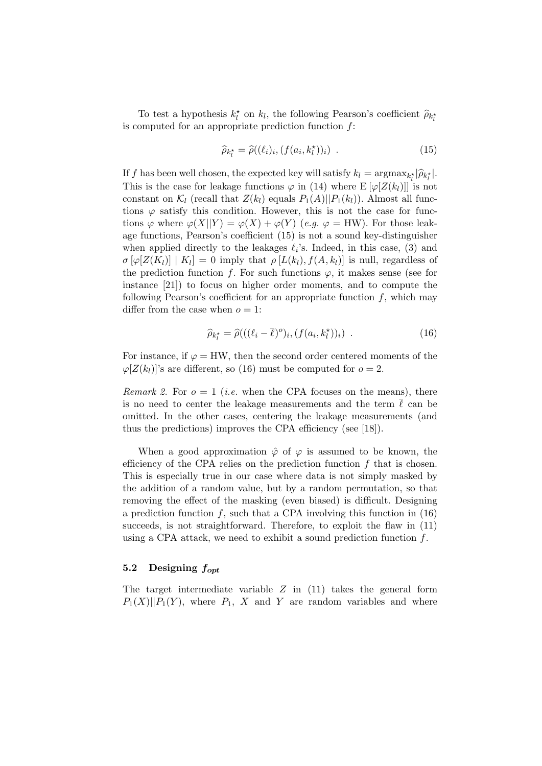To test a hypothesis  $k_l^*$  on  $k_l$ , the following Pearson's coefficient  $\hat{\rho}_{k_l^*}$ is computed for an appropriate prediction function  $f$ :

$$
\widehat{\rho}_{k_l^*} = \widehat{\rho}((\ell_i)_i, (f(a_i, k_l^*))_i) \tag{15}
$$

If f has been well chosen, the expected key will satisfy  $k_l = \arg \max_{k_l^*} |\hat{\rho}_{k_l^*}|$ .<br>This is the sees for larkers functions wire (14) where  $E[\omega Z(k_l)]$  is not This is the case for leakage functions  $\varphi$  in (14) where  $E[\varphi Z(k_l)]$  is not constant on  $\mathcal{K}_l$  (recall that  $Z(k_l)$  equals  $P_1(A)||P_1(k_l)$ ). Almost all functions  $\varphi$  satisfy this condition. However, this is not the case for functions  $\varphi$  where  $\varphi(X||Y) = \varphi(X) + \varphi(Y)$  (e.g.  $\varphi = HW$ ). For those leakage functions, Pearson's coefficient (15) is not a sound key-distinguisher when applied directly to the leakages  $\ell_i$ 's. Indeed, in this case, (3) and  $\sigma\left[\varphi[Z(K_l)] \mid K_l\right] = 0$  imply that  $\rho\left[L(k_l), f(A, k_l)\right]$  is null, regardless of the prediction function f. For such functions  $\varphi$ , it makes sense (see for instance [21]) to focus on higher order moments, and to compute the following Pearson's coefficient for an appropriate function  $f$ , which may differ from the case when  $o = 1$ :

$$
\widehat{\rho}_{k_l^*} = \widehat{\rho}(((\ell_i - \overline{\ell})^o)_i, (f(a_i, k_l^*))_i) \tag{16}
$$

For instance, if  $\varphi = HW$ , then the second order centered moments of the  $\varphi$ [Z(k<sub>l</sub>)]'s are different, so (16) must be computed for  $o = 2$ .

*Remark 2.* For  $o = 1$  (*i.e.* when the CPA focuses on the means), there is no need to center the leakage measurements and the term  $\bar{\ell}$  can be omitted. In the other cases, centering the leakage measurements (and thus the predictions) improves the CPA efficiency (see [18]).

When a good approximation  $\hat{\varphi}$  of  $\varphi$  is assumed to be known, the efficiency of the CPA relies on the prediction function  $f$  that is chosen. This is especially true in our case where data is not simply masked by the addition of a random value, but by a random permutation, so that removing the effect of the masking (even biased) is difficult. Designing a prediction function  $f$ , such that a CPA involving this function in (16) succeeds, is not straightforward. Therefore, to exploit the flaw in (11) using a CPA attack, we need to exhibit a sound prediction function  $f$ .

# 5.2 Designing  $f_{opt}$

The target intermediate variable  $Z$  in (11) takes the general form  $P_1(X)||P_1(Y)$ , where  $P_1$ , X and Y are random variables and where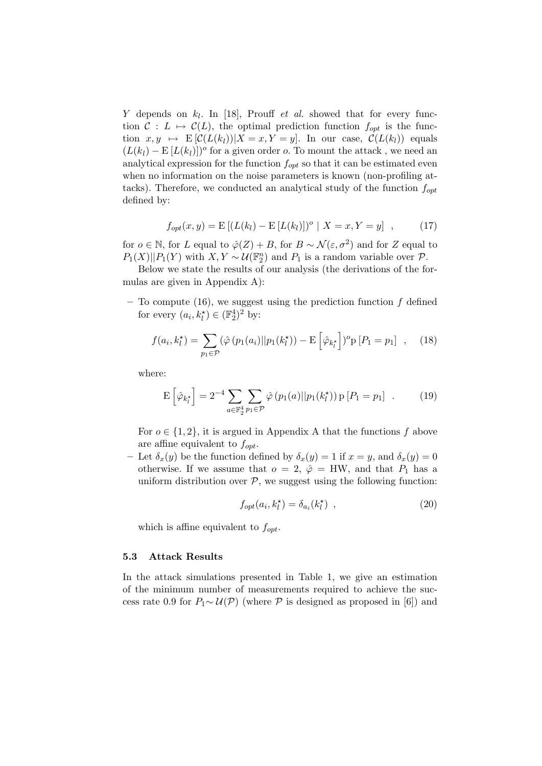Y depends on  $k_l$ . In [18], Prouff *et al.* showed that for every function  $C : L \mapsto C(L)$ , the optimal prediction function  $f_{opt}$  is the function  $x, y \mapsto E[\mathcal{C}(L(k_l))|X=x, Y=y]$ . In our case,  $\mathcal{C}(L(k_l))$  equals  $(L(k_l) - \mathbb{E}[L(k_l)])^{\circ}$  for a given order *o*. To mount the attack, we need an analytical expression for the function  $f_{opt}$  so that it can be estimated even when no information on the noise parameters is known (non-profiling attacks). Therefore, we conducted an analytical study of the function  $f_{opt}$ defined by:

$$
f_{opt}(x, y) = \mathcal{E} [(L(k_l) - \mathcal{E} [L(k_l)])^o \mid X = x, Y = y], \qquad (17)
$$

for  $o \in \mathbb{N}$ , for L equal to  $\hat{\varphi}(Z) + B$ , for  $B \sim \mathcal{N}(\varepsilon, \sigma^2)$  and for Z equal to  $P_1(X)||P_1(Y)$  with  $X, Y \sim \mathcal{U}(\mathbb{F}_2^n)$  and  $P_1$  is a random variable over  $\mathcal{P}$ .

Below we state the results of our analysis (the derivations of the formulas are given in Appendix A):

– To compute (16), we suggest using the prediction function  $f$  defined for every  $(a_i, k_l^{\star}) \in (\mathbb{F}_2^4)^2$  by:

$$
f(a_i, k_l^*) = \sum_{p_1 \in \mathcal{P}} (\hat{\varphi}(p_1(a_i)||p_1(k_l^*)) - \mathbb{E}\left[\hat{\varphi}_{k_l^*}\right])^o \mathbf{p}[P_1 = p_1], \quad (18)
$$

where:

$$
E\left[\hat{\varphi}_{k_l^*}\right] = 2^{-4} \sum_{a \in \mathbb{F}_2^4} \sum_{p_1 \in \mathcal{P}} \hat{\varphi}\left(p_1(a) || p_1(k_l^*)\right) p\left[P_1 = p_1\right] \quad . \tag{19}
$$

For  $o \in \{1, 2\}$ , it is argued in Appendix A that the functions f above are affine equivalent to  $f_{opt}$ .

– Let  $\delta_x(y)$  be the function defined by  $\delta_x(y) = 1$  if  $x = y$ , and  $\delta_x(y) = 0$ otherwise. If we assume that  $o = 2$ ,  $\hat{\varphi} = HW$ , and that  $P_1$  has a uniform distribution over  $P$ , we suggest using the following function:

$$
f_{opt}(a_i, k_l^*) = \delta_{a_i}(k_l^*) \quad , \tag{20}
$$

which is affine equivalent to  $f_{opt}$ .

# 5.3 Attack Results

In the attack simulations presented in Table 1, we give an estimation of the minimum number of measurements required to achieve the success rate 0.9 for  $P_1 \sim \mathcal{U}(\mathcal{P})$  (where  $\mathcal P$  is designed as proposed in [6]) and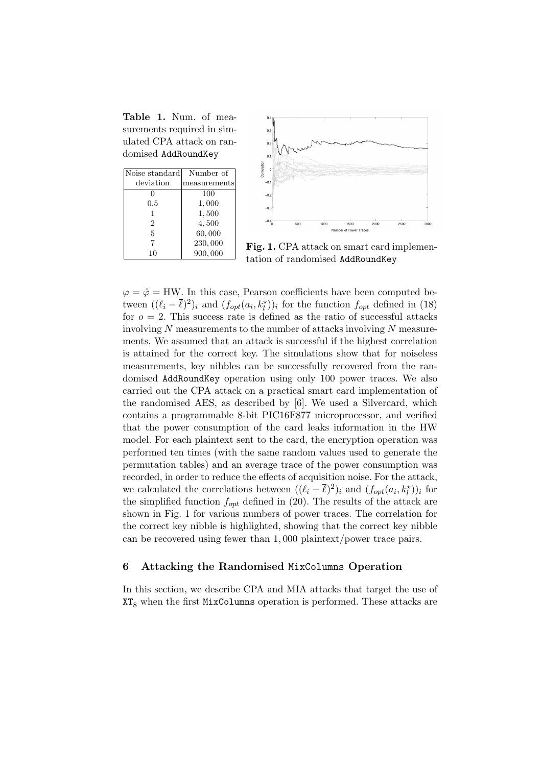Table 1. Num. of measurements required in simulated CPA attack on randomised AddRoundKey

| Noise standard | Number of    |
|----------------|--------------|
| deviation      | measurements |
| 0              | 100          |
| 0.5            | 1,000        |
| 1              | 1,500        |
| 2              | 4,500        |
| 5              | 60,000       |
| 7              | 230,000      |
| 10             | 900,000      |



Fig. 1. CPA attack on smart card implementation of randomised AddRoundKey

 $\varphi = \hat{\varphi} = HW$ . In this case, Pearson coefficients have been computed between  $((\ell_i - \overline{\ell})^2)_i$  and  $(f_{opt}(a_i, k_i^{\star}))_i$  for the function  $f_{opt}$  defined in (18) for  $o = 2$ . This success rate is defined as the ratio of successful attacks involving  $N$  measurements to the number of attacks involving  $N$  measurements. We assumed that an attack is successful if the highest correlation is attained for the correct key. The simulations show that for noiseless measurements, key nibbles can be successfully recovered from the randomised AddRoundKey operation using only 100 power traces. We also carried out the CPA attack on a practical smart card implementation of the randomised AES, as described by [6]. We used a Silvercard, which contains a programmable 8-bit PIC16F877 microprocessor, and verified that the power consumption of the card leaks information in the HW model. For each plaintext sent to the card, the encryption operation was performed ten times (with the same random values used to generate the permutation tables) and an average trace of the power consumption was recorded, in order to reduce the effects of acquisition noise. For the attack, we calculated the correlations between  $((\ell_i - \overline{\ell})^2)_i$  and  $(f_{opt}(a_i, k_i^{\star}))_i$  for the simplified function  $f_{opt}$  defined in (20). The results of the attack are shown in Fig. 1 for various numbers of power traces. The correlation for the correct key nibble is highlighted, showing that the correct key nibble can be recovered using fewer than 1, 000 plaintext/power trace pairs.

# 6 Attacking the Randomised MixColumns Operation

In this section, we describe CPA and MIA attacks that target the use of  $XT_8$  when the first MixColumns operation is performed. These attacks are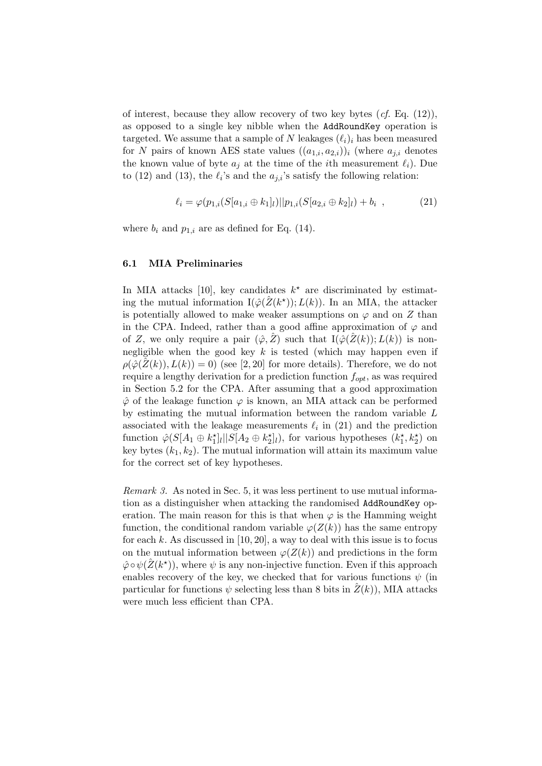of interest, because they allow recovery of two key bytes  $(cf. Eq. (12)),$ as opposed to a single key nibble when the AddRoundKey operation is targeted. We assume that a sample of N leakages  $(\ell_i)_i$  has been measured for N pairs of known AES state values  $((a_{1,i}, a_{2,i}))_i$  (where  $a_{j,i}$  denotes the known value of byte  $a_i$  at the time of the *i*th measurement  $\ell_i$ ). Due to (12) and (13), the  $\ell_i$ 's and the  $a_{j,i}$ 's satisfy the following relation:

$$
\ell_i = \varphi(p_{1,i}(S[a_{1,i} \oplus k_1]_l) || p_{1,i}(S[a_{2,i} \oplus k_2]_l) + b_i , \qquad (21)
$$

where  $b_i$  and  $p_{1,i}$  are as defined for Eq. (14).

## 6.1 MIA Preliminaries

In MIA attacks [10], key candidates  $k^*$  are discriminated by estimating the mutual information  $I(\hat{\varphi}(\hat{Z}(k^*)); L(k))$ . In an MIA, the attacker is potentially allowed to make weaker assumptions on  $\varphi$  and on Z than in the CPA. Indeed, rather than a good affine approximation of  $\varphi$  and of Z, we only require a pair  $(\hat{\varphi}, Z)$  such that  $I(\hat{\varphi}(Z(k)); L(k))$  is nonnegligible when the good key  $k$  is tested (which may happen even if  $\rho(\hat{\varphi}(\hat{Z}(k)), L(k)) = 0$  (see [2, 20] for more details). Therefore, we do not require a lengthy derivation for a prediction function  $f_{opt}$ , as was required in Section 5.2 for the CPA. After assuming that a good approximation  $\hat{\varphi}$  of the leakage function  $\varphi$  is known, an MIA attack can be performed by estimating the mutual information between the random variable L associated with the leakage measurements  $\ell_i$  in (21) and the prediction function  $\hat{\varphi}(S[A_1 \oplus k_1^*]_l || S[A_2 \oplus k_2^*]_l)$ , for various hypotheses  $(k_1^*, k_2^*)$  on key bytes  $(k_1, k_2)$ . The mutual information will attain its maximum value for the correct set of key hypotheses.

Remark 3. As noted in Sec. 5, it was less pertinent to use mutual information as a distinguisher when attacking the randomised AddRoundKey operation. The main reason for this is that when  $\varphi$  is the Hamming weight function, the conditional random variable  $\varphi(Z(k))$  has the same entropy for each k. As discussed in  $[10, 20]$ , a way to deal with this issue is to focus on the mutual information between  $\varphi(Z(k))$  and predictions in the form  $\hat{\varphi} \circ \psi(\hat{Z}(k^*))$ , where  $\psi$  is any non-injective function. Even if this approach enables recovery of the key, we checked that for various functions  $\psi$  (in particular for functions  $\psi$  selecting less than 8 bits in  $Z(k)$ ), MIA attacks were much less efficient than CPA.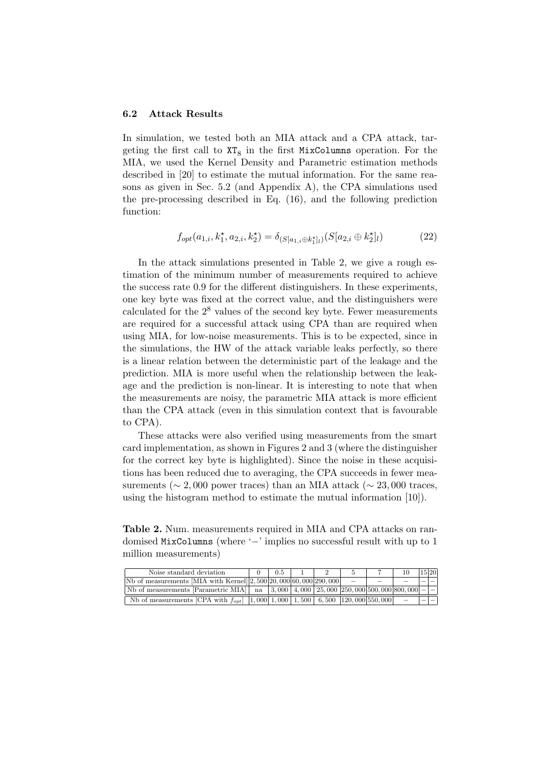#### 6.2 Attack Results

In simulation, we tested both an MIA attack and a CPA attack, targeting the first call to  $XT_8$  in the first MixColumns operation. For the MIA, we used the Kernel Density and Parametric estimation methods described in [20] to estimate the mutual information. For the same reasons as given in Sec. 5.2 (and Appendix A), the CPA simulations used the pre-processing described in Eq. (16), and the following prediction function:

$$
f_{opt}(a_{1,i}, k_1^*, a_{2,i}, k_2^*) = \delta_{(S[a_{1,i} \oplus k_1^*]_l)}(S[a_{2,i} \oplus k_2^*]_l)
$$
(22)

In the attack simulations presented in Table 2, we give a rough estimation of the minimum number of measurements required to achieve the success rate 0.9 for the different distinguishers. In these experiments, one key byte was fixed at the correct value, and the distinguishers were calculated for the  $2<sup>8</sup>$  values of the second key byte. Fewer measurements are required for a successful attack using CPA than are required when using MIA, for low-noise measurements. This is to be expected, since in the simulations, the HW of the attack variable leaks perfectly, so there is a linear relation between the deterministic part of the leakage and the prediction. MIA is more useful when the relationship between the leakage and the prediction is non-linear. It is interesting to note that when the measurements are noisy, the parametric MIA attack is more efficient than the CPA attack (even in this simulation context that is favourable to CPA).

These attacks were also verified using measurements from the smart card implementation, as shown in Figures 2 and 3 (where the distinguisher for the correct key byte is highlighted). Since the noise in these acquisitions has been reduced due to averaging, the CPA succeeds in fewer measurements ( $\sim 2,000$  power traces) than an MIA attack ( $\sim 23,000$  traces, using the histogram method to estimate the mutual information [10]).

Table 2. Num. measurements required in MIA and CPA attacks on randomised MixColumns (where '−' implies no successful result with up to 1 million measurements)

| Noise standard deviation                                                                                                                                                          |  |  |  |  | 15 20 |
|-----------------------------------------------------------------------------------------------------------------------------------------------------------------------------------|--|--|--|--|-------|
| Nb of measurements [MIA with Kernel] 2, 500 20, 000 60, 000 290, 000                                                                                                              |  |  |  |  |       |
| Nb of measurements [Parametric MIA] $\vert$ na $\vert$ 3,000 $\vert$ 4,000 $\vert$ 25,000 $\vert$ 250,000 $\vert$ 500,000 $\vert$ 800,000 $\vert$ $\vert$ $\vert$ $\vert$ $\vert$ |  |  |  |  |       |
| Nb of measurements [CPA with $f_{opt}$ ] [1,000] 1,000 [1,500] 6,500 [120,000] [550,000]                                                                                          |  |  |  |  |       |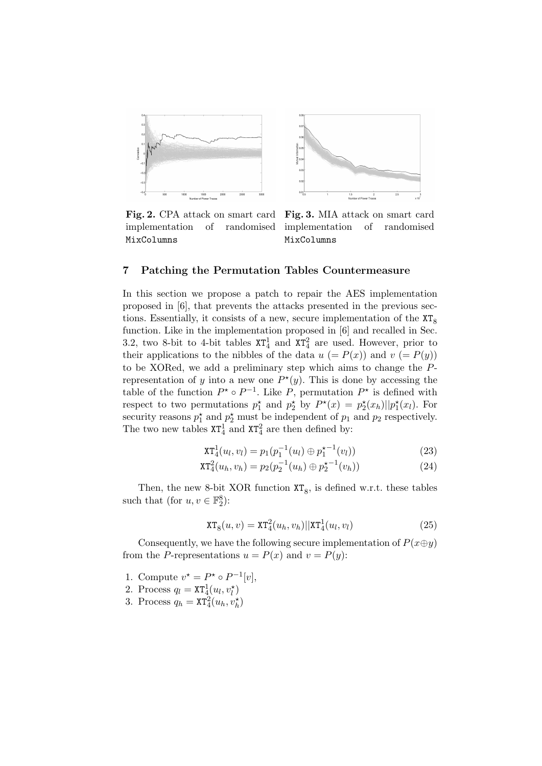

Fig. 2. CPA attack on smart card Fig. 3. MIA attack on smart card implementation of randomised MixColumns

implementation of randomised MixColumns

#### 7 Patching the Permutation Tables Countermeasure

In this section we propose a patch to repair the AES implementation proposed in [6], that prevents the attacks presented in the previous sections. Essentially, it consists of a new, secure implementation of the  $XT_8$ function. Like in the implementation proposed in [6] and recalled in Sec. 3.2, two 8-bit to 4-bit tables  $XT_4^1$  and  $XT_4^2$  are used. However, prior to their applications to the nibbles of the data  $u (= P(x))$  and  $v (= P(y))$ to be XORed, we add a preliminary step which aims to change the Prepresentation of y into a new one  $P^*(y)$ . This is done by accessing the table of the function  $P^* \circ P^{-1}$ . Like P, permutation  $P^*$  is defined with respect to two permutations  $p_1^*$  and  $p_2^*$  by  $P^*(x) = p_2^*(x_h) || p_1^*(x_l)$ . For security reasons  $p_1^*$  and  $p_2^*$  must be independent of  $p_1$  and  $p_2$  respectively. The two new tables  $XT_4^1$  and  $XT_4^2$  are then defined by:

$$
\mathbf{XT}_4^1(u_l, v_l) = p_1(p_1^{-1}(u_l) \oplus p_1^{\star -1}(v_l))
$$
\n(23)

$$
\mathbf{XT}_{4}^{2}(u_{h}, v_{h}) = p_{2}(p_{2}^{-1}(u_{h}) \oplus p_{2}^{\star -1}(v_{h})) \tag{24}
$$

Then, the new 8-bit XOR function  $XT_8$ , is defined w.r.t. these tables such that (for  $u, v \in \mathbb{F}_2^8$ ):

$$
\text{XT}_8(u, v) = \text{XT}_4^2(u_h, v_h) ||\text{XT}_4^1(u_l, v_l)
$$
\n(25)

Consequently, we have the following secure implementation of  $P(x \oplus y)$ from the P-representations  $u = P(x)$  and  $v = P(y)$ :

- 1. Compute  $v^* = P^* \circ P^{-1}[v],$
- 2. Process  $q_l = \texttt{XT}_4^1(u_l, v_l^{\star})$
- 3. Process  $q_h = \texttt{XT}_4^2(u_h, v_h^{\star})$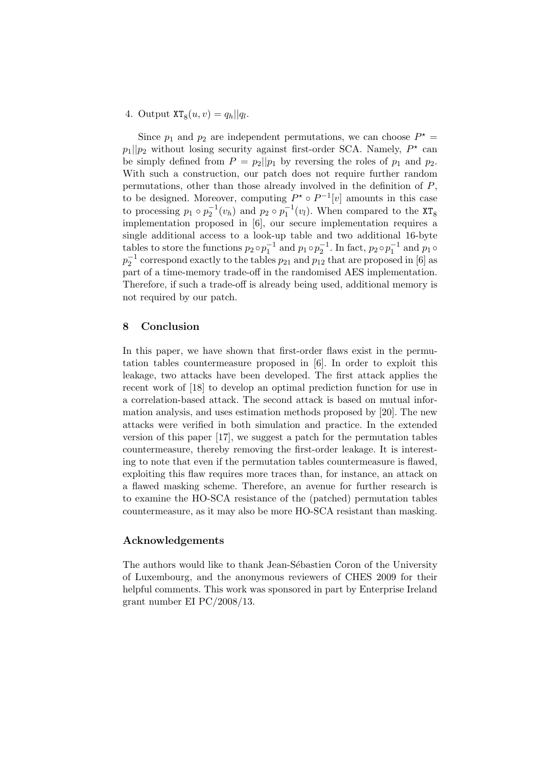4. Output  $XT_8(u, v) = q_h || q_l$ .

Since  $p_1$  and  $p_2$  are independent permutations, we can choose  $P^* =$  $p_1||p_2$  without losing security against first-order SCA. Namely,  $P^*$  can be simply defined from  $P = p_2 || p_1$  by reversing the roles of  $p_1$  and  $p_2$ . With such a construction, our patch does not require further random permutations, other than those already involved in the definition of  $P$ , to be designed. Moreover, computing  $P^* \circ P^{-1}[v]$  amounts in this case to processing  $p_1 \circ p_2^{-1}(v_h)$  and  $p_2 \circ p_1^{-1}(v_l)$ . When compared to the  $\mathsf{XT}_8$ implementation proposed in [6], our secure implementation requires a single additional access to a look-up table and two additional 16-byte tables to store the functions  $p_2 \circ p_1^{-1}$  and  $p_1 \circ p_2^{-1}$ . In fact,  $p_2 \circ p_1^{-1}$  and  $p_1 \circ p_2^{-1}$  $p_2^{-1}$  correspond exactly to the tables  $p_{21}$  and  $p_{12}$  that are proposed in [6] as part of a time-memory trade-off in the randomised AES implementation. Therefore, if such a trade-off is already being used, additional memory is not required by our patch.

## 8 Conclusion

In this paper, we have shown that first-order flaws exist in the permutation tables countermeasure proposed in [6]. In order to exploit this leakage, two attacks have been developed. The first attack applies the recent work of [18] to develop an optimal prediction function for use in a correlation-based attack. The second attack is based on mutual information analysis, and uses estimation methods proposed by [20]. The new attacks were verified in both simulation and practice. In the extended version of this paper [17], we suggest a patch for the permutation tables countermeasure, thereby removing the first-order leakage. It is interesting to note that even if the permutation tables countermeasure is flawed, exploiting this flaw requires more traces than, for instance, an attack on a flawed masking scheme. Therefore, an avenue for further research is to examine the HO-SCA resistance of the (patched) permutation tables countermeasure, as it may also be more HO-SCA resistant than masking.

# Acknowledgements

The authors would like to thank Jean-Sébastien Coron of the University of Luxembourg, and the anonymous reviewers of CHES 2009 for their helpful comments. This work was sponsored in part by Enterprise Ireland grant number EI PC/2008/13.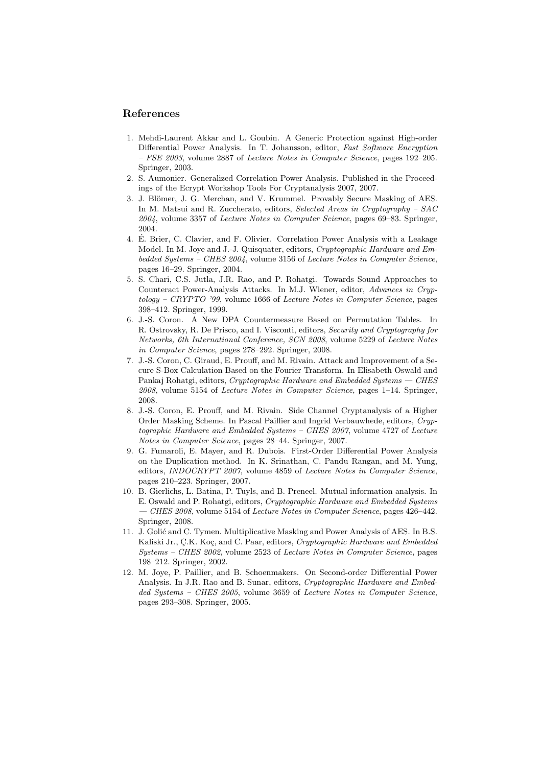# References

- 1. Mehdi-Laurent Akkar and L. Goubin. A Generic Protection against High-order Differential Power Analysis. In T. Johansson, editor, Fast Software Encryption – FSE 2003, volume 2887 of Lecture Notes in Computer Science, pages 192–205. Springer, 2003.
- 2. S. Aumonier. Generalized Correlation Power Analysis. Published in the Proceedings of the Ecrypt Workshop Tools For Cryptanalysis 2007, 2007.
- 3. J. Blömer, J. G. Merchan, and V. Krummel. Provably Secure Masking of AES. In M. Matsui and R. Zuccherato, editors, Selected Areas in Cryptography – SAC 2004, volume 3357 of Lecture Notes in Computer Science, pages 69–83. Springer, 2004.
- 4. E. Brier, C. Clavier, and F. Olivier. Correlation Power Analysis with a Leakage ´ Model. In M. Joye and J.-J. Quisquater, editors, Cryptographic Hardware and Embedded Systems – CHES 2004, volume 3156 of Lecture Notes in Computer Science, pages 16–29. Springer, 2004.
- 5. S. Chari, C.S. Jutla, J.R. Rao, and P. Rohatgi. Towards Sound Approaches to Counteract Power-Analysis Attacks. In M.J. Wiener, editor, Advances in Cryptology – CRYPTO '99, volume 1666 of Lecture Notes in Computer Science, pages 398–412. Springer, 1999.
- 6. J.-S. Coron. A New DPA Countermeasure Based on Permutation Tables. In R. Ostrovsky, R. De Prisco, and I. Visconti, editors, Security and Cryptography for Networks, 6th International Conference, SCN 2008, volume 5229 of Lecture Notes in Computer Science, pages 278–292. Springer, 2008.
- 7. J.-S. Coron, C. Giraud, E. Prouff, and M. Rivain. Attack and Improvement of a Secure S-Box Calculation Based on the Fourier Transform. In Elisabeth Oswald and Pankaj Rohatgi, editors, Cryptographic Hardware and Embedded Systems — CHES 2008, volume 5154 of Lecture Notes in Computer Science, pages 1–14. Springer, 2008.
- 8. J.-S. Coron, E. Prouff, and M. Rivain. Side Channel Cryptanalysis of a Higher Order Masking Scheme. In Pascal Paillier and Ingrid Verbauwhede, editors, Cryptographic Hardware and Embedded Systems – CHES 2007, volume 4727 of Lecture Notes in Computer Science, pages 28–44. Springer, 2007.
- 9. G. Fumaroli, E. Mayer, and R. Dubois. First-Order Differential Power Analysis on the Duplication method. In K. Srinathan, C. Pandu Rangan, and M. Yung, editors, INDOCRYPT 2007, volume 4859 of Lecture Notes in Computer Science, pages 210–223. Springer, 2007.
- 10. B. Gierlichs, L. Batina, P. Tuyls, and B. Preneel. Mutual information analysis. In E. Oswald and P. Rohatgi, editors, Cryptographic Hardware and Embedded Systems — CHES 2008, volume 5154 of Lecture Notes in Computer Science, pages 426–442. Springer, 2008.
- 11. J. Golić and C. Tymen. Multiplicative Masking and Power Analysis of AES. In B.S. Kaliski Jr., Ç.K. Koç, and C. Paar, editors, Cryptographic Hardware and Embedded Systems – CHES 2002, volume 2523 of Lecture Notes in Computer Science, pages 198–212. Springer, 2002.
- 12. M. Joye, P. Paillier, and B. Schoenmakers. On Second-order Differential Power Analysis. In J.R. Rao and B. Sunar, editors, Cryptographic Hardware and Embedded Systems - CHES 2005, volume 3659 of Lecture Notes in Computer Science, pages 293–308. Springer, 2005.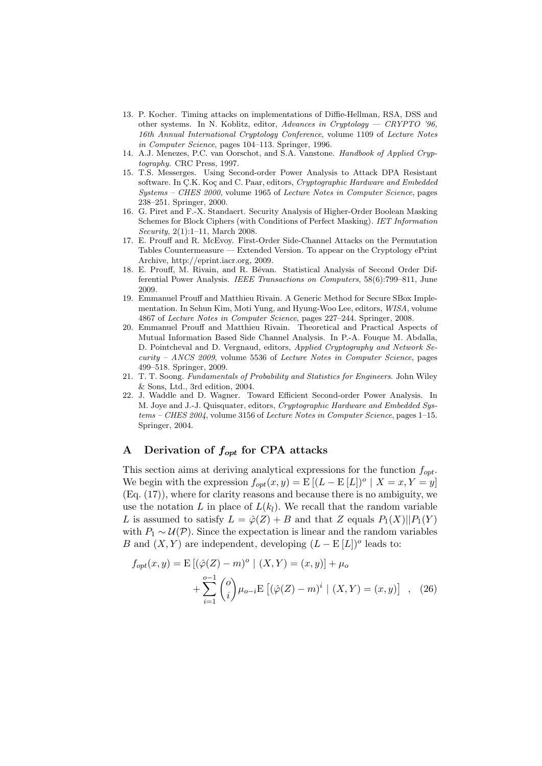- 13. P. Kocher. Timing attacks on implementations of Diffie-Hellman, RSA, DSS and other systems. In N. Koblitz, editor, Advances in Cryptology — CRYPTO '96, 16th Annual International Cryptology Conference, volume 1109 of Lecture Notes in Computer Science, pages 104–113. Springer, 1996.
- 14. A.J. Menezes, P.C. van Oorschot, and S.A. Vanstone. Handbook of Applied Cryptography. CRC Press, 1997.
- 15. T.S. Messerges. Using Second-order Power Analysis to Attack DPA Resistant software. In Ç.K. Koç and C. Paar, editors, Cryptographic Hardware and Embedded Systems – CHES 2000, volume 1965 of Lecture Notes in Computer Science, pages 238–251. Springer, 2000.
- 16. G. Piret and F.-X. Standaert. Security Analysis of Higher-Order Boolean Masking Schemes for Block Ciphers (with Conditions of Perfect Masking). IET Information Security, 2(1):1–11, March 2008.
- 17. E. Prouff and R. McEvoy. First-Order Side-Channel Attacks on the Permutation Tables Countermeasure — Extended Version. To appear on the Cryptology ePrint Archive, http://eprint.iacr.org, 2009.
- 18. E. Prouff, M. Rivain, and R. Bévan. Statistical Analysis of Second Order Differential Power Analysis. IEEE Transactions on Computers, 58(6):799–811, June 2009.
- 19. Emmanuel Prouff and Matthieu Rivain. A Generic Method for Secure SBox Implementation. In Sehun Kim, Moti Yung, and Hyung-Woo Lee, editors, WISA, volume 4867 of Lecture Notes in Computer Science, pages 227–244. Springer, 2008.
- 20. Emmanuel Prouff and Matthieu Rivain. Theoretical and Practical Aspects of Mutual Information Based Side Channel Analysis. In P.-A. Fouque M. Abdalla, D. Pointcheval and D. Vergnaud, editors, Applied Cryptography and Network Se $curity - ANCS 2009$ , volume 5536 of *Lecture Notes in Computer Science*, pages 499–518. Springer, 2009.
- 21. T. T. Soong. Fundamentals of Probability and Statistics for Engineers. John Wiley & Sons, Ltd., 3rd edition, 2004.
- 22. J. Waddle and D. Wagner. Toward Efficient Second-order Power Analysis. In M. Joye and J.-J. Quisquater, editors, Cryptographic Hardware and Embedded Systems – CHES 2004, volume 3156 of Lecture Notes in Computer Science, pages 1–15. Springer, 2004.

# A Derivation of  $f_{opt}$  for CPA attacks

This section aims at deriving analytical expressions for the function  $f_{opt}$ . We begin with the expression  $f_{opt}(x, y) = E[(L - E[L])^o \mid X = x, Y = y]$ (Eq. (17)), where for clarity reasons and because there is no ambiguity, we use the notation L in place of  $L(k_l)$ . We recall that the random variable L is assumed to satisfy  $L = \hat{\varphi}(Z) + B$  and that Z equals  $P_1(X)||P_1(Y)$ with  $P_1 \sim \mathcal{U}(\mathcal{P})$ . Since the expectation is linear and the random variables B and  $(X, Y)$  are independent, developing  $(L - E[L])^{\circ}$  leads to:

$$
f_{opt}(x,y) = \mathcal{E}\left[ (\hat{\varphi}(Z) - m)^o \mid (X,Y) = (x,y) \right] + \mu_o
$$
  
+ 
$$
\sum_{i=1}^{o-1} {o \choose i} \mu_{o-i} \mathcal{E}\left[ (\hat{\varphi}(Z) - m)^i \mid (X,Y) = (x,y) \right] , \quad (26)
$$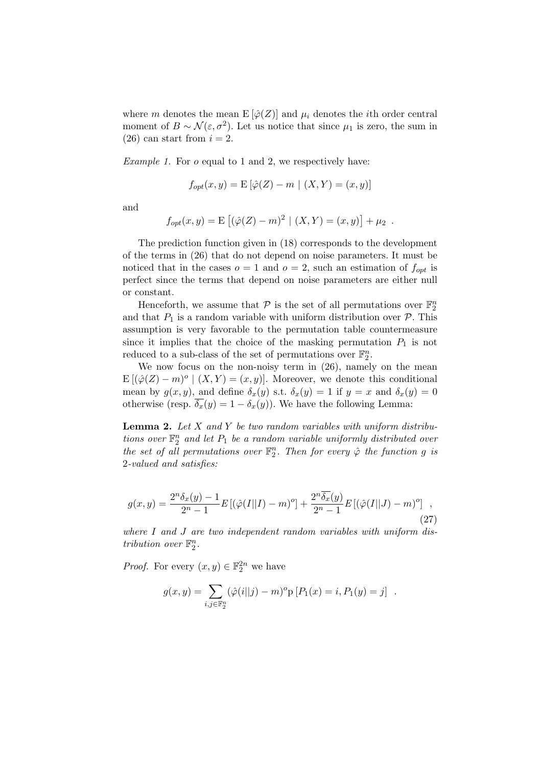where m denotes the mean  $E[\hat{\varphi}(Z)]$  and  $\mu_i$  denotes the *i*th order central moment of  $B \sim \mathcal{N}(\varepsilon, \sigma^2)$ . Let us notice that since  $\mu_1$  is zero, the sum in (26) can start from  $i = 2$ .

Example 1. For o equal to 1 and 2, we respectively have:

$$
f_{opt}(x, y) = \mathbb{E} [\hat{\varphi}(Z) - m | (X, Y) = (x, y)]
$$

and

$$
f_{opt}(x, y) = E [(\hat{\varphi}(Z) - m)^2 | (X, Y) = (x, y)] + \mu_2
$$
.

The prediction function given in (18) corresponds to the development of the terms in (26) that do not depend on noise parameters. It must be noticed that in the cases  $o = 1$  and  $o = 2$ , such an estimation of  $f_{opt}$  is perfect since the terms that depend on noise parameters are either null or constant.

Henceforth, we assume that  $P$  is the set of all permutations over  $\mathbb{F}_2^n$ and that  $P_1$  is a random variable with uniform distribution over  $P$ . This assumption is very favorable to the permutation table countermeasure since it implies that the choice of the masking permutation  $P_1$  is not reduced to a sub-class of the set of permutations over  $\mathbb{F}_2^n$ .

We now focus on the non-noisy term in  $(26)$ , namely on the mean  $E[(\hat{\varphi}(Z) - m)^{\circ} | (X, Y) = (x, y)]$ . Moreover, we denote this conditional mean by  $g(x, y)$ , and define  $\delta_x(y)$  s.t.  $\delta_x(y) = 1$  if  $y = x$  and  $\delta_x(y) = 0$ otherwise (resp.  $\overline{\delta_x}(y) = 1 - \delta_x(y)$ ). We have the following Lemma:

**Lemma 2.** Let  $X$  and  $Y$  be two random variables with uniform distributions over  $\mathbb{F}_2^n$  and let  $P_1$  be a random variable uniformly distributed over the set of all permutations over  $\mathbb{F}_2^n$ . Then for every  $\hat{\varphi}$  the function g is 2-valued and satisfies:

$$
g(x,y) = \frac{2^n \delta_x(y) - 1}{2^n - 1} E\left[ (\hat{\varphi}(I||I) - m)^o \right] + \frac{2^n \overline{\delta_x}(y)}{2^n - 1} E\left[ (\hat{\varphi}(I||J) - m)^o \right],
$$
\n(27)

where I and J are two independent random variables with uniform distribution over  $\mathbb{F}_2^n$ .

*Proof.* For every  $(x, y) \in \mathbb{F}_2^{2n}$  we have

$$
g(x,y) = \sum_{i,j \in \mathbb{F}_2^n} (\hat{\varphi}(i||j) - m)^o \mathbf{p} [P_1(x) = i, P_1(y) = j].
$$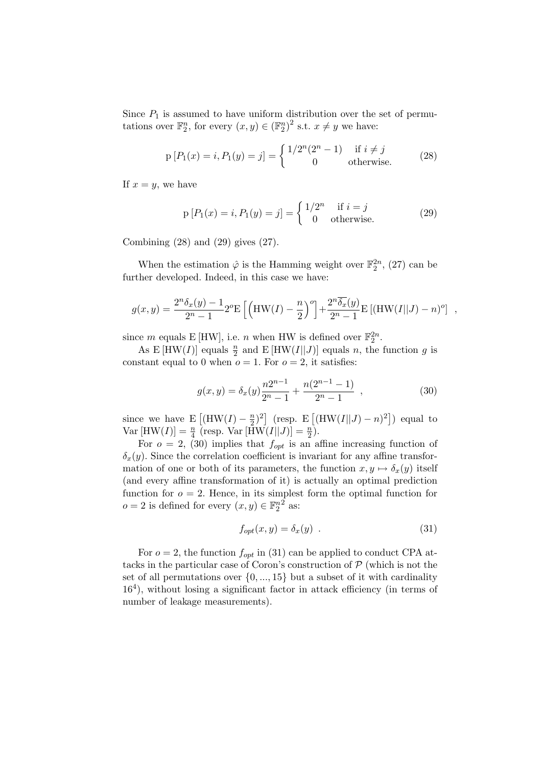Since  $P_1$  is assumed to have uniform distribution over the set of permutations over  $\mathbb{F}_2^n$ , for every  $(x, y) \in (\mathbb{F}_2^n)^2$  s.t.  $x \neq y$  we have:

$$
p[P_1(x) = i, P_1(y) = j] = \begin{cases} 1/2^n(2^n - 1) & \text{if } i \neq j \\ 0 & \text{otherwise.} \end{cases}
$$
 (28)

If  $x = y$ , we have

$$
p[P_1(x) = i, P_1(y) = j] = \begin{cases} 1/2^n & \text{if } i = j \\ 0 & \text{otherwise.} \end{cases}
$$
 (29)

Combining  $(28)$  and  $(29)$  gives  $(27)$ .

When the estimation  $\hat{\varphi}$  is the Hamming weight over  $\mathbb{F}_2^{2n}$ , (27) can be further developed. Indeed, in this case we have:

$$
g(x,y) = \frac{2^n \delta_x(y) - 1}{2^n - 1} 2^o \mathbb{E}\left[\left(\mathbf{H} \mathbf{W}(I) - \frac{n}{2}\right)^o\right] + \frac{2^n \overline{\delta_x}(y)}{2^n - 1} \mathbb{E}\left[\left(\mathbf{H} \mathbf{W}(I||J) - n\right)^o\right] ,
$$

since m equals E [HW], i.e. n when HW is defined over  $\mathbb{F}_2^{2n}$ .

As E [HW(I)] equals  $\frac{n}{2}$  and E [HW(I||J)] equals n, the function g is constant equal to 0 when  $o = 1$ . For  $o = 2$ , it satisfies:

$$
g(x,y) = \delta_x(y)\frac{n2^{n-1}}{2^n - 1} + \frac{n(2^{n-1} - 1)}{2^n - 1},
$$
\n(30)

since we have  $E\left[ (HW(I) - \frac{n}{2}) \right]$  $\left[\frac{n}{2}\right]^2$  (resp. E  $\left[\left(\text{HW}(I||J) - n\right)^2\right]$ ) equal to  $\text{Var}[\text{HW}(I)] = \frac{n}{4} \left( \text{resp. } \text{Var}[\tilde{\text{HW}}(I||J)] = \frac{n}{2} \right).$ 

For  $o = 2$ , (30) implies that  $f_{opt}$  is an affine increasing function of  $\delta_x(y)$ . Since the correlation coefficient is invariant for any affine transformation of one or both of its parameters, the function  $x, y \mapsto \delta_x(y)$  itself (and every affine transformation of it) is actually an optimal prediction function for  $o = 2$ . Hence, in its simplest form the optimal function for  $o = 2$  is defined for every  $(x, y) \in \mathbb{F}_2^{n^2}$  as:

$$
f_{opt}(x, y) = \delta_x(y) . \tag{31}
$$

For  $o = 2$ , the function  $f_{opt}$  in (31) can be applied to conduct CPA attacks in the particular case of Coron's construction of  $P$  (which is not the set of all permutations over  $\{0, ..., 15\}$  but a subset of it with cardinality 16<sup>4</sup> ), without losing a significant factor in attack efficiency (in terms of number of leakage measurements).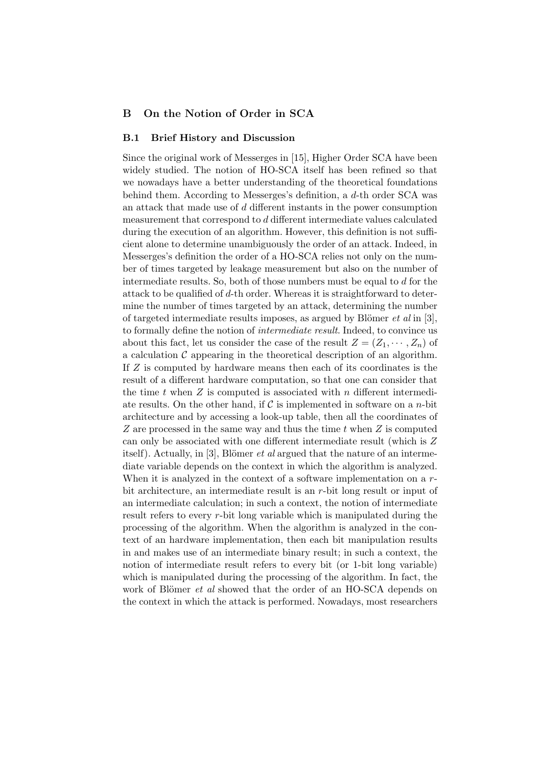# B On the Notion of Order in SCA

## B.1 Brief History and Discussion

Since the original work of Messerges in [15], Higher Order SCA have been widely studied. The notion of HO-SCA itself has been refined so that we nowadays have a better understanding of the theoretical foundations behind them. According to Messerges's definition, a d-th order SCA was an attack that made use of d different instants in the power consumption measurement that correspond to d different intermediate values calculated during the execution of an algorithm. However, this definition is not sufficient alone to determine unambiguously the order of an attack. Indeed, in Messerges's definition the order of a HO-SCA relies not only on the number of times targeted by leakage measurement but also on the number of intermediate results. So, both of those numbers must be equal to d for the attack to be qualified of d-th order. Whereas it is straightforward to determine the number of times targeted by an attack, determining the number of targeted intermediate results imposes, as argued by Blömer  $et$  al in [3], to formally define the notion of intermediate result. Indeed, to convince us about this fact, let us consider the case of the result  $Z = (Z_1, \dots, Z_n)$  of a calculation  $\mathcal C$  appearing in the theoretical description of an algorithm. If Z is computed by hardware means then each of its coordinates is the result of a different hardware computation, so that one can consider that the time t when  $Z$  is computed is associated with  $n$  different intermediate results. On the other hand, if  $C$  is implemented in software on a *n*-bit architecture and by accessing a look-up table, then all the coordinates of Z are processed in the same way and thus the time  $t$  when  $Z$  is computed can only be associated with one different intermediate result (which is Z itself). Actually, in [3], Blömer *et al* argued that the nature of an intermediate variable depends on the context in which the algorithm is analyzed. When it is analyzed in the context of a software implementation on a rbit architecture, an intermediate result is an r-bit long result or input of an intermediate calculation; in such a context, the notion of intermediate result refers to every  $r$ -bit long variable which is manipulated during the processing of the algorithm. When the algorithm is analyzed in the context of an hardware implementation, then each bit manipulation results in and makes use of an intermediate binary result; in such a context, the notion of intermediate result refers to every bit (or 1-bit long variable) which is manipulated during the processing of the algorithm. In fact, the work of Blömer *et al* showed that the order of an HO-SCA depends on the context in which the attack is performed. Nowadays, most researchers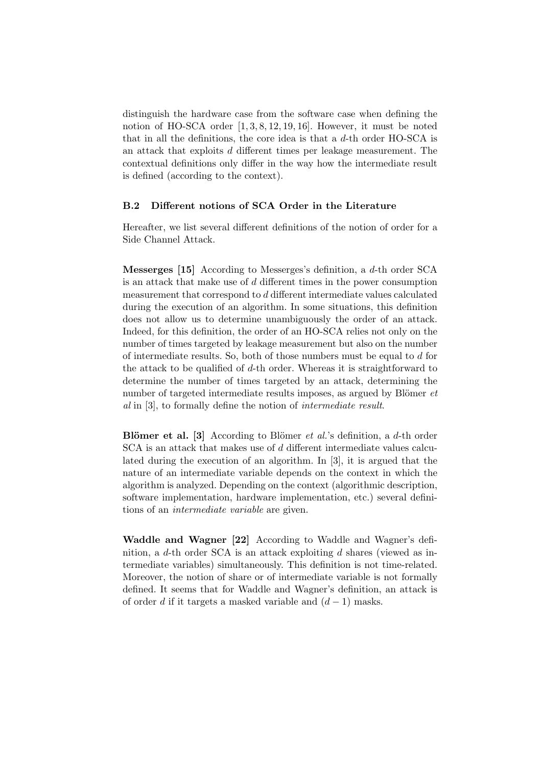distinguish the hardware case from the software case when defining the notion of HO-SCA order [1, 3, 8, 12, 19, 16]. However, it must be noted that in all the definitions, the core idea is that a d-th order HO-SCA is an attack that exploits d different times per leakage measurement. The contextual definitions only differ in the way how the intermediate result is defined (according to the context).

# B.2 Different notions of SCA Order in the Literature

Hereafter, we list several different definitions of the notion of order for a Side Channel Attack.

Messerges [15] According to Messerges's definition, a d-th order SCA is an attack that make use of d different times in the power consumption measurement that correspond to d different intermediate values calculated during the execution of an algorithm. In some situations, this definition does not allow us to determine unambiguously the order of an attack. Indeed, for this definition, the order of an HO-SCA relies not only on the number of times targeted by leakage measurement but also on the number of intermediate results. So, both of those numbers must be equal to d for the attack to be qualified of  $d$ -th order. Whereas it is straightforward to determine the number of times targeted by an attack, determining the number of targeted intermediate results imposes, as argued by Blömer  $et$ al in [3], to formally define the notion of intermediate result.

**Blömer et al.** [3] According to Blömer *et al.*'s definition, a d-th order SCA is an attack that makes use of d different intermediate values calculated during the execution of an algorithm. In [3], it is argued that the nature of an intermediate variable depends on the context in which the algorithm is analyzed. Depending on the context (algorithmic description, software implementation, hardware implementation, etc.) several definitions of an intermediate variable are given.

Waddle and Wagner [22] According to Waddle and Wagner's definition, a d-th order SCA is an attack exploiting d shares (viewed as intermediate variables) simultaneously. This definition is not time-related. Moreover, the notion of share or of intermediate variable is not formally defined. It seems that for Waddle and Wagner's definition, an attack is of order d if it targets a masked variable and  $(d-1)$  masks.